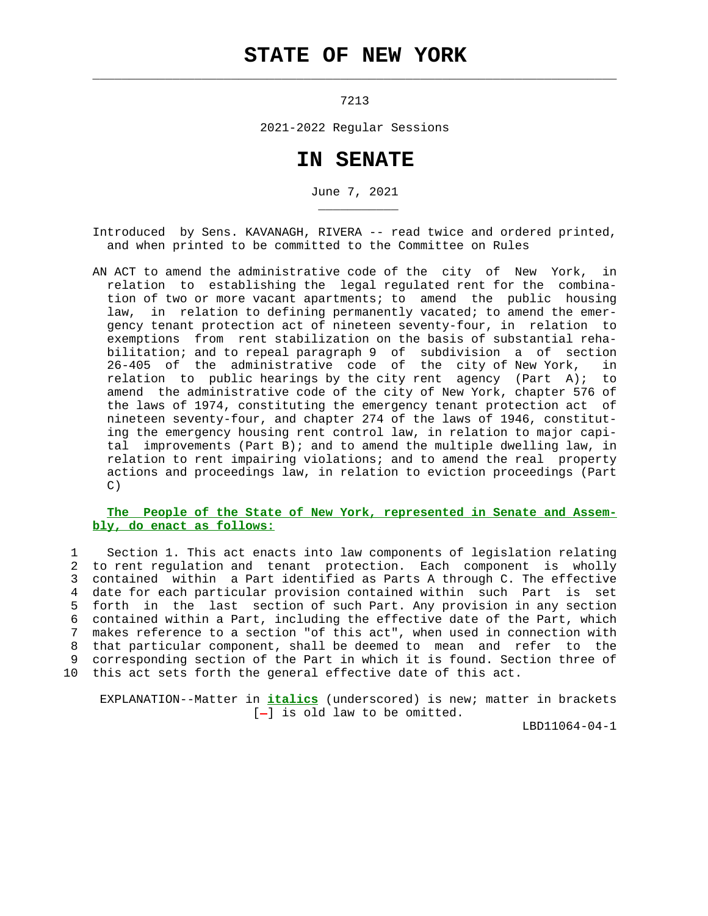# **STATE OF NEW YORK**

 $\mathcal{L}_\text{max} = \frac{1}{2} \sum_{i=1}^{n} \frac{1}{2} \sum_{i=1}^{n} \frac{1}{2} \sum_{i=1}^{n} \frac{1}{2} \sum_{i=1}^{n} \frac{1}{2} \sum_{i=1}^{n} \frac{1}{2} \sum_{i=1}^{n} \frac{1}{2} \sum_{i=1}^{n} \frac{1}{2} \sum_{i=1}^{n} \frac{1}{2} \sum_{i=1}^{n} \frac{1}{2} \sum_{i=1}^{n} \frac{1}{2} \sum_{i=1}^{n} \frac{1}{2} \sum_{i=1}^{n} \frac{1$ 

\_\_\_\_\_\_\_\_\_\_\_

7213

2021-2022 Regular Sessions

## **IN SENATE**

June 7, 2021

 Introduced by Sens. KAVANAGH, RIVERA -- read twice and ordered printed, and when printed to be committed to the Committee on Rules

 AN ACT to amend the administrative code of the city of New York, in relation to establishing the legal regulated rent for the combina tion of two or more vacant apartments; to amend the public housing law, in relation to defining permanently vacated; to amend the emer gency tenant protection act of nineteen seventy-four, in relation to exemptions from rent stabilization on the basis of substantial reha bilitation; and to repeal paragraph 9 of subdivision a of section 26-405 of the administrative code of the city of New York, in relation to public hearings by the city rent agency (Part A); to amend the administrative code of the city of New York, chapter 576 of the laws of 1974, constituting the emergency tenant protection act of nineteen seventy-four, and chapter 274 of the laws of 1946, constitut ing the emergency housing rent control law, in relation to major capi tal improvements (Part B); and to amend the multiple dwelling law, in relation to rent impairing violations; and to amend the real property actions and proceedings law, in relation to eviction proceedings (Part  $\overline{C}$ )

### **The People of the State of New York, represented in Senate and Assem bly, do enact as follows:**

 1 Section 1. This act enacts into law components of legislation relating 2 to rent regulation and tenant protection. Each component is wholly 3 contained within a Part identified as Parts A through C. The effective 4 date for each particular provision contained within such Part is set 5 forth in the last section of such Part. Any provision in any section 6 contained within a Part, including the effective date of the Part, which 7 makes reference to a section "of this act", when used in connection with 8 that particular component, shall be deemed to mean and refer to the 9 corresponding section of the Part in which it is found. Section three of 10 this act sets forth the general effective date of this act.

 EXPLANATION--Matter in **italics** (underscored) is new; matter in brackets  $[-]$  is old law to be omitted.

LBD11064-04-1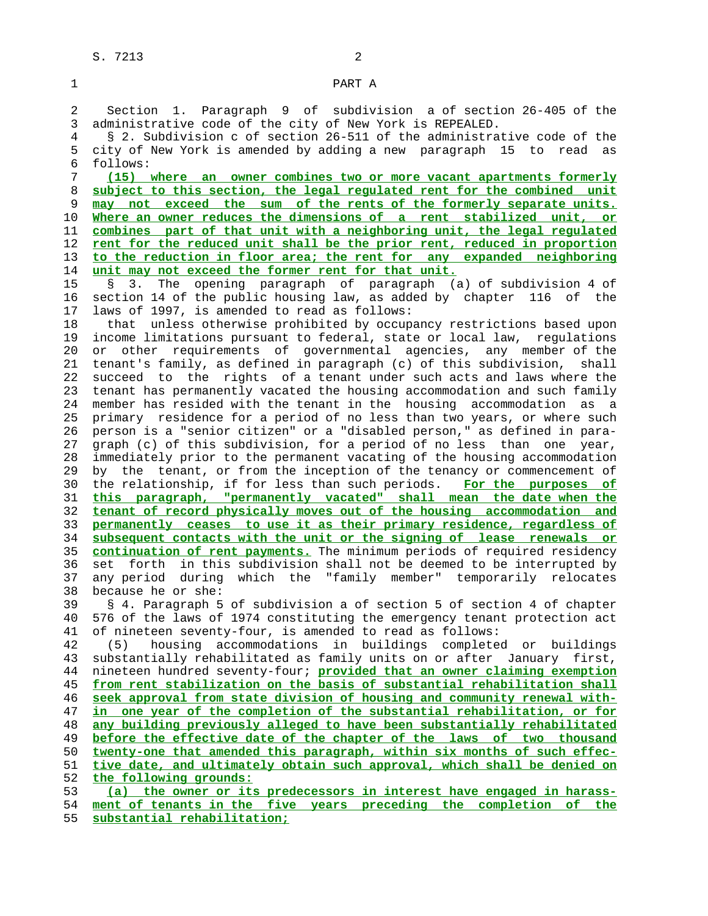#### 1 PART A

 2 Section 1. Paragraph 9 of subdivision a of section 26-405 of the 3 administrative code of the city of New York is REPEALED. 4 § 2. Subdivision c of section 26-511 of the administrative code of the 5 city of New York is amended by adding a new paragraph 15 to read as 6 follows: 7 **(15) where an owner combines two or more vacant apartments formerly** 8 **subject to this section, the legal regulated rent for the combined unit** 9 **may not exceed the sum of the rents of the formerly separate units.** 10 **Where an owner reduces the dimensions of a rent stabilized unit, or** 11 **combines part of that unit with a neighboring unit, the legal regulated** 12 **rent for the reduced unit shall be the prior rent, reduced in proportion** 13 **to the reduction in floor area; the rent for any expanded neighboring** 14 **unit may not exceed the former rent for that unit.** 15 § 3. The opening paragraph of paragraph (a) of subdivision 4 of 16 section 14 of the public housing law, as added by chapter 116 of the 17 laws of 1997, is amended to read as follows: 18 that unless otherwise prohibited by occupancy restrictions based upon 19 income limitations pursuant to federal, state or local law, regulations 20 or other requirements of governmental agencies, any member of the 21 tenant's family, as defined in paragraph (c) of this subdivision, shall 22 succeed to the rights of a tenant under such acts and laws where the 23 tenant has permanently vacated the housing accommodation and such family 24 member has resided with the tenant in the housing accommodation as a 25 primary residence for a period of no less than two years, or where such 26 person is a "senior citizen" or a "disabled person," as defined in para- 27 graph (c) of this subdivision, for a period of no less than one year, 28 immediately prior to the permanent vacating of the housing accommodation 29 by the tenant, or from the inception of the tenancy or commencement of 30 the relationship, if for less than such periods. **For the purposes of** 31 **this paragraph, "permanently vacated" shall mean the date when the** 32 **tenant of record physically moves out of the housing accommodation and** 33 **permanently ceases to use it as their primary residence, regardless of** 34 **subsequent contacts with the unit or the signing of lease renewals or** 35 **continuation of rent payments.** The minimum periods of required residency 36 set forth in this subdivision shall not be deemed to be interrupted by 37 any period during which the "family member" temporarily relocates 38 because he or she: 39 § 4. Paragraph 5 of subdivision a of section 5 of section 4 of chapter 40 576 of the laws of 1974 constituting the emergency tenant protection act 41 of nineteen seventy-four, is amended to read as follows: 42 (5) housing accommodations in buildings completed or buildings 43 substantially rehabilitated as family units on or after January first, 44 nineteen hundred seventy-four; **provided that an owner claiming exemption** 45 **from rent stabilization on the basis of substantial rehabilitation shall** 46 **seek approval from state division of housing and community renewal with-** 47 **in one year of the completion of the substantial rehabilitation, or for** 48 **any building previously alleged to have been substantially rehabilitated** 49 **before the effective date of the chapter of the laws of two thousand** 50 **twenty-one that amended this paragraph, within six months of such effec-** 51 **tive date, and ultimately obtain such approval, which shall be denied on** 52 **the following grounds:** 53 **(a) the owner or its predecessors in interest have engaged in harass-** 54 **ment of tenants in the five years preceding the completion of the**

55 **substantial rehabilitation;**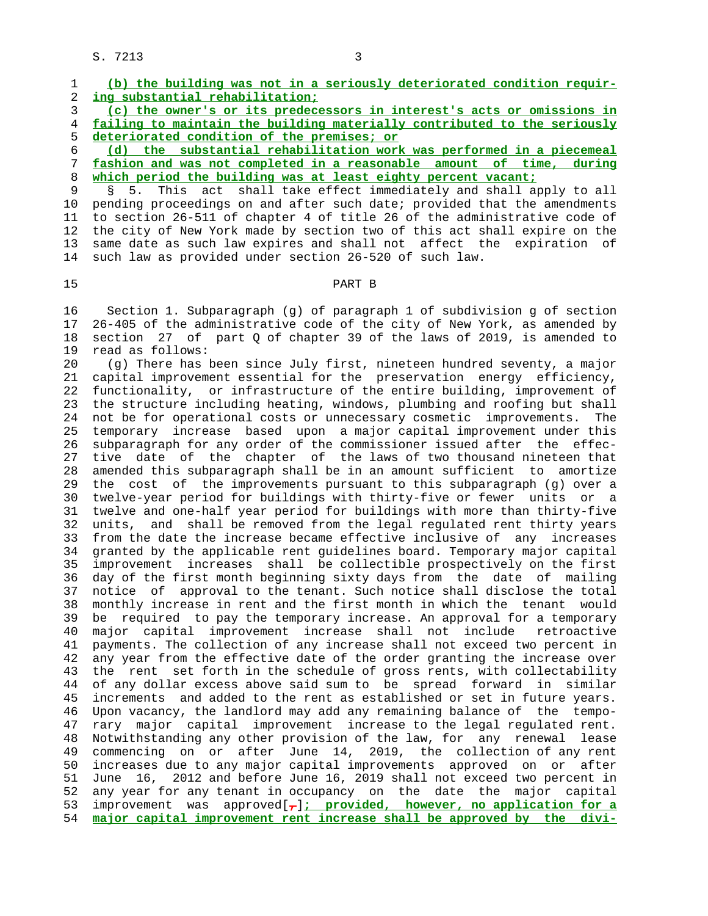1 **(b) the building was not in a seriously deteriorated condition requir-** 2 **ing substantial rehabilitation;**

 3 **(c) the owner's or its predecessors in interest's acts or omissions in** 4 **failing to maintain the building materially contributed to the seriously** 5 **deteriorated condition of the premises; or**

 6 **(d) the substantial rehabilitation work was performed in a piecemeal** 7 **fashion and was not completed in a reasonable amount of time, during** 8 **which period the building was at least eighty percent vacant;**

§ 5. This act shall take effect immediately and shall apply to all 10 pending proceedings on and after such date; provided that the amendments 11 to section 26-511 of chapter 4 of title 26 of the administrative code of 12 the city of New York made by section two of this act shall expire on the 13 same date as such law expires and shall not affect the expiration of 14 such law as provided under section 26-520 of such law.

#### 15 PART B

 16 Section 1. Subparagraph (g) of paragraph 1 of subdivision g of section 17 26-405 of the administrative code of the city of New York, as amended by 18 section 27 of part Q of chapter 39 of the laws of 2019, is amended to 19 read as follows:

 20 (g) There has been since July first, nineteen hundred seventy, a major 21 capital improvement essential for the preservation energy efficiency, 22 functionality, or infrastructure of the entire building, improvement of 23 the structure including heating, windows, plumbing and roofing but shall 24 not be for operational costs or unnecessary cosmetic improvements. The 25 temporary increase based upon a major capital improvement under this 26 subparagraph for any order of the commissioner issued after the effec- 27 tive date of the chapter of the laws of two thousand nineteen that 28 amended this subparagraph shall be in an amount sufficient to amortize 29 the cost of the improvements pursuant to this subparagraph (g) over a 30 twelve-year period for buildings with thirty-five or fewer units or a 31 twelve and one-half year period for buildings with more than thirty-five 32 units, and shall be removed from the legal regulated rent thirty years 33 from the date the increase became effective inclusive of any increases 34 granted by the applicable rent guidelines board. Temporary major capital 35 improvement increases shall be collectible prospectively on the first 36 day of the first month beginning sixty days from the date of mailing 37 notice of approval to the tenant. Such notice shall disclose the total 38 monthly increase in rent and the first month in which the tenant would 39 be required to pay the temporary increase. An approval for a temporary 40 major capital improvement increase shall not include retroactive 41 payments. The collection of any increase shall not exceed two percent in 42 any year from the effective date of the order granting the increase over 43 the rent set forth in the schedule of gross rents, with collectability 44 of any dollar excess above said sum to be spread forward in similar 45 increments and added to the rent as established or set in future years. 46 Upon vacancy, the landlord may add any remaining balance of the tempo- 47 rary major capital improvement increase to the legal regulated rent. 48 Notwithstanding any other provision of the law, for any renewal lease 49 commencing on or after June 14, 2019, the collection of any rent 50 increases due to any major capital improvements approved on or after 51 June 16, 2012 and before June 16, 2019 shall not exceed two percent in 52 any year for any tenant in occupancy on the date the major capital 53 improvement was approved[**,**]**; provided, however, no application for a** 54 **major capital improvement rent increase shall be approved by the divi-**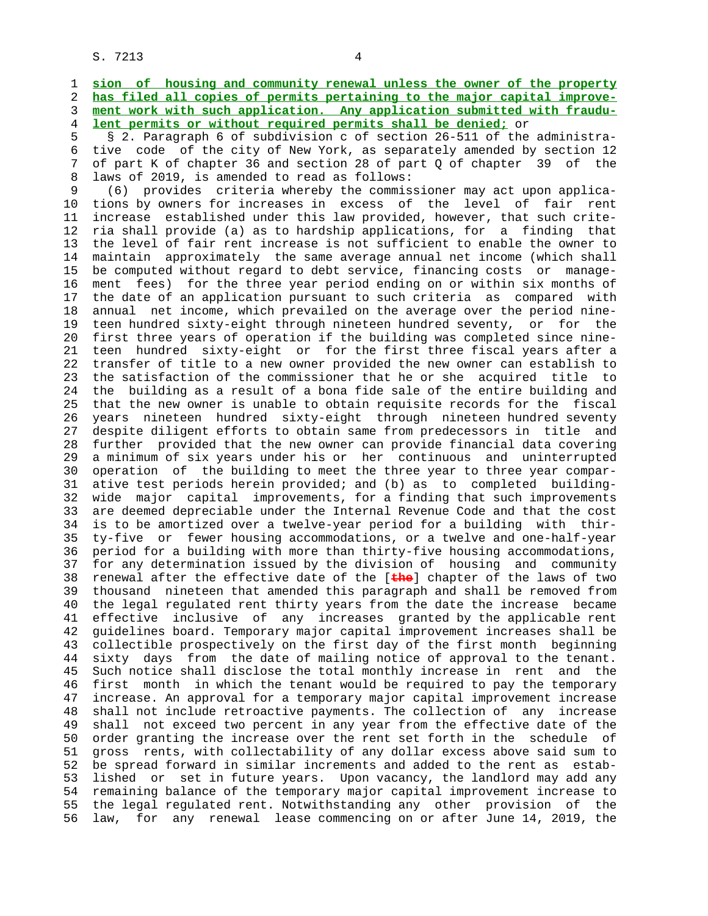**sion of housing and community renewal unless the owner of the property has filed all copies of permits pertaining to the major capital improve- ment work with such application. Any application submitted with fraudu- lent permits or without required permits shall be denied;** or

 5 § 2. Paragraph 6 of subdivision c of section 26-511 of the administra- 6 tive code of the city of New York, as separately amended by section 12 7 of part K of chapter 36 and section 28 of part Q of chapter 39 of the 8 laws of 2019, is amended to read as follows:<br>9 (6) provides criteria whereby the commis

 9 (6) provides criteria whereby the commissioner may act upon applica- 10 tions by owners for increases in excess of the level of fair rent 11 increase established under this law provided, however, that such crite- 12 ria shall provide (a) as to hardship applications, for a finding that 13 the level of fair rent increase is not sufficient to enable the owner to 14 maintain approximately the same average annual net income (which shall 15 be computed without regard to debt service, financing costs or manage- 16 ment fees) for the three year period ending on or within six months of 17 the date of an application pursuant to such criteria as compared with 18 annual net income, which prevailed on the average over the period nine- 19 teen hundred sixty-eight through nineteen hundred seventy, or for the 20 first three years of operation if the building was completed since nine- 21 teen hundred sixty-eight or for the first three fiscal years after a 22 transfer of title to a new owner provided the new owner can establish to 23 the satisfaction of the commissioner that he or she acquired title to 24 the building as a result of a bona fide sale of the entire building and 25 that the new owner is unable to obtain requisite records for the fiscal 26 years nineteen hundred sixty-eight through nineteen hundred seventy 27 despite diligent efforts to obtain same from predecessors in title and 28 further provided that the new owner can provide financial data covering 29 a minimum of six years under his or her continuous and uninterrupted 30 operation of the building to meet the three year to three year compar- 31 ative test periods herein provided; and (b) as to completed building- 32 wide major capital improvements, for a finding that such improvements 33 are deemed depreciable under the Internal Revenue Code and that the cost 34 is to be amortized over a twelve-year period for a building with thir- 35 ty-five or fewer housing accommodations, or a twelve and one-half-year 36 period for a building with more than thirty-five housing accommodations, 37 for any determination issued by the division of housing and community 38 renewal after the effective date of the [**the**] chapter of the laws of two 39 thousand nineteen that amended this paragraph and shall be removed from 40 the legal regulated rent thirty years from the date the increase became 41 effective inclusive of any increases granted by the applicable rent 42 guidelines board. Temporary major capital improvement increases shall be 43 collectible prospectively on the first day of the first month beginning 44 sixty days from the date of mailing notice of approval to the tenant. 45 Such notice shall disclose the total monthly increase in rent and the 46 first month in which the tenant would be required to pay the temporary 47 increase. An approval for a temporary major capital improvement increase 48 shall not include retroactive payments. The collection of any increase 49 shall not exceed two percent in any year from the effective date of the 50 order granting the increase over the rent set forth in the schedule of 51 gross rents, with collectability of any dollar excess above said sum to 52 be spread forward in similar increments and added to the rent as estab- 53 lished or set in future years. Upon vacancy, the landlord may add any 54 remaining balance of the temporary major capital improvement increase to 55 the legal regulated rent. Notwithstanding any other provision of the 56 law, for any renewal lease commencing on or after June 14, 2019, the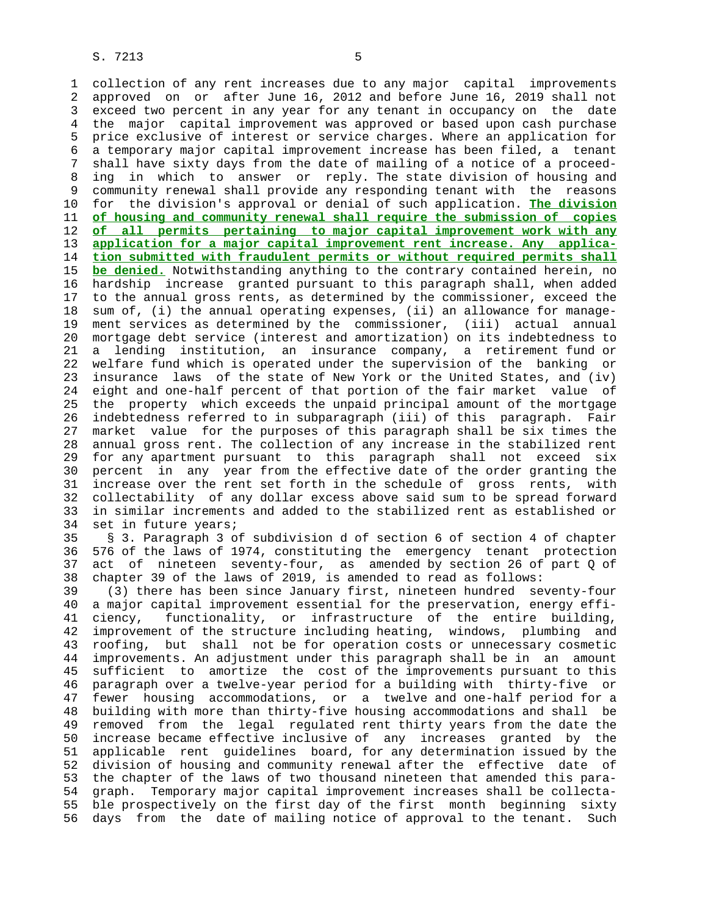1 collection of any rent increases due to any major capital improvements 2 approved on or after June 16, 2012 and before June 16, 2019 shall not 3 exceed two percent in any year for any tenant in occupancy on the date 4 the major capital improvement was approved or based upon cash purchase 5 price exclusive of interest or service charges. Where an application for 6 a temporary major capital improvement increase has been filed, a tenant 7 shall have sixty days from the date of mailing of a notice of a proceed- 8 ing in which to answer or reply. The state division of housing and 9 community renewal shall provide any responding tenant with the reasons 10 for the division's approval or denial of such application. **The division** 11 **of housing and community renewal shall require the submission of copies** 12 **of all permits pertaining to major capital improvement work with any** 13 **application for a major capital improvement rent increase. Any applica-** 14 **tion submitted with fraudulent permits or without required permits shall** 15 **be denied.** Notwithstanding anything to the contrary contained herein, no 16 hardship increase granted pursuant to this paragraph shall, when added 17 to the annual gross rents, as determined by the commissioner, exceed the 18 sum of, (i) the annual operating expenses, (ii) an allowance for manage- 19 ment services as determined by the commissioner, (iii) actual annual 20 mortgage debt service (interest and amortization) on its indebtedness to 21 a lending institution, an insurance company, a retirement fund or 22 welfare fund which is operated under the supervision of the banking or 23 insurance laws of the state of New York or the United States, and (iv) 24 eight and one-half percent of that portion of the fair market value of 25 the property which exceeds the unpaid principal amount of the mortgage 26 indebtedness referred to in subparagraph (iii) of this paragraph. Fair 27 market value for the purposes of this paragraph shall be six times the 28 annual gross rent. The collection of any increase in the stabilized rent 29 for any apartment pursuant to this paragraph shall not exceed six 30 percent in any year from the effective date of the order granting the 31 increase over the rent set forth in the schedule of gross rents, with 32 collectability of any dollar excess above said sum to be spread forward 33 in similar increments and added to the stabilized rent as established or 34 set in future years;

 35 § 3. Paragraph 3 of subdivision d of section 6 of section 4 of chapter 36 576 of the laws of 1974, constituting the emergency tenant protection 37 act of nineteen seventy-four, as amended by section 26 of part Q of 38 chapter 39 of the laws of 2019, is amended to read as follows:

 39 (3) there has been since January first, nineteen hundred seventy-four 40 a major capital improvement essential for the preservation, energy effi- 41 ciency, functionality, or infrastructure of the entire building, 42 improvement of the structure including heating, windows, plumbing and 43 roofing, but shall not be for operation costs or unnecessary cosmetic 44 improvements. An adjustment under this paragraph shall be in an amount 45 sufficient to amortize the cost of the improvements pursuant to this 46 paragraph over a twelve-year period for a building with thirty-five or 47 fewer housing accommodations, or a twelve and one-half period for a 48 building with more than thirty-five housing accommodations and shall be 49 removed from the legal regulated rent thirty years from the date the 50 increase became effective inclusive of any increases granted by the 51 applicable rent guidelines board, for any determination issued by the 52 division of housing and community renewal after the effective date of 53 the chapter of the laws of two thousand nineteen that amended this para- 54 graph. Temporary major capital improvement increases shall be collecta- 55 ble prospectively on the first day of the first month beginning sixty 56 days from the date of mailing notice of approval to the tenant. Such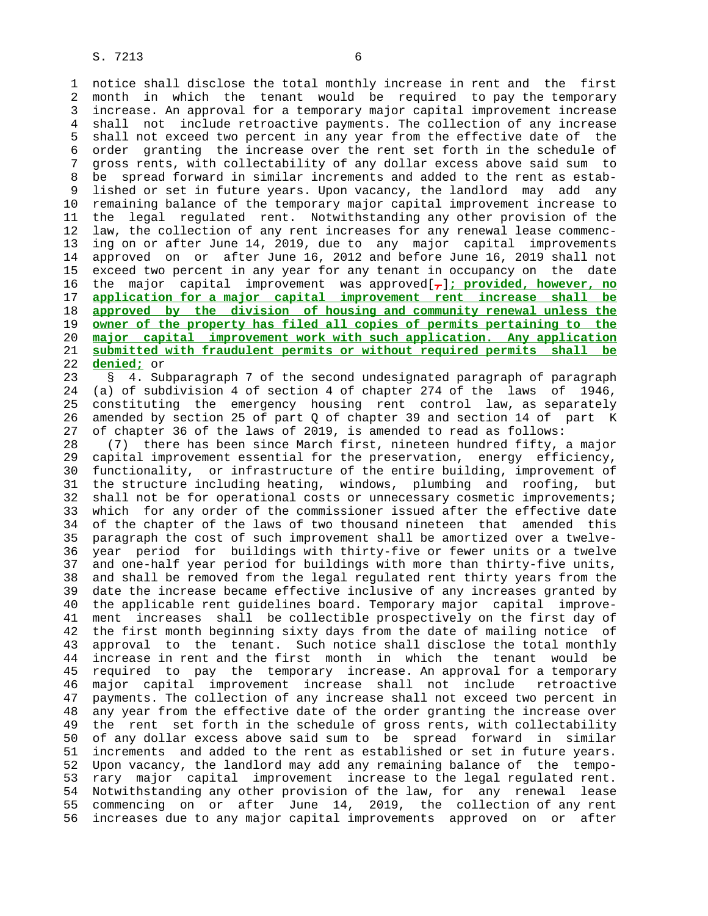1 notice shall disclose the total monthly increase in rent and the first 2 month in which the tenant would be required to pay the temporary 3 increase. An approval for a temporary major capital improvement increase 4 shall not include retroactive payments. The collection of any increase 5 shall not exceed two percent in any year from the effective date of the 6 order granting the increase over the rent set forth in the schedule of 7 gross rents, with collectability of any dollar excess above said sum to 8 be spread forward in similar increments and added to the rent as estab-<br>9 lished or set in future years. Upon yacancy, the landlord may add any lished or set in future years. Upon vacancy, the landlord may add any 10 remaining balance of the temporary major capital improvement increase to 11 the legal regulated rent. Notwithstanding any other provision of the 12 law, the collection of any rent increases for any renewal lease commenc- 13 ing on or after June 14, 2019, due to any major capital improvements 14 approved on or after June 16, 2012 and before June 16, 2019 shall not 15 exceed two percent in any year for any tenant in occupancy on the date 16 the major capital improvement was approved[**,**]**; provided, however, no** 17 **application for a major capital improvement rent increase shall be** 18 **approved by the division of housing and community renewal unless the** 19 **owner of the property has filed all copies of permits pertaining to the** 20 **major capital improvement work with such application. Any application** 21 **submitted with fraudulent permits or without required permits shall be** 22 **denied;** or

 23 § 4. Subparagraph 7 of the second undesignated paragraph of paragraph 24 (a) of subdivision 4 of section 4 of chapter 274 of the laws of 1946, 25 constituting the emergency housing rent control law, as separately 26 amended by section 25 of part Q of chapter 39 and section 14 of part K 27 of chapter 36 of the laws of 2019, is amended to read as follows:

 28 (7) there has been since March first, nineteen hundred fifty, a major 29 capital improvement essential for the preservation, energy efficiency, 30 functionality, or infrastructure of the entire building, improvement of 31 the structure including heating, windows, plumbing and roofing, but 32 shall not be for operational costs or unnecessary cosmetic improvements; 33 which for any order of the commissioner issued after the effective date 34 of the chapter of the laws of two thousand nineteen that amended this 35 paragraph the cost of such improvement shall be amortized over a twelve- 36 year period for buildings with thirty-five or fewer units or a twelve 37 and one-half year period for buildings with more than thirty-five units, 38 and shall be removed from the legal regulated rent thirty years from the 39 date the increase became effective inclusive of any increases granted by 40 the applicable rent guidelines board. Temporary major capital improve- 41 ment increases shall be collectible prospectively on the first day of 42 the first month beginning sixty days from the date of mailing notice of 43 approval to the tenant. Such notice shall disclose the total monthly 44 increase in rent and the first month in which the tenant would be 45 required to pay the temporary increase. An approval for a temporary 46 major capital improvement increase shall not include retroactive 47 payments. The collection of any increase shall not exceed two percent in 48 any year from the effective date of the order granting the increase over 49 the rent set forth in the schedule of gross rents, with collectability 50 of any dollar excess above said sum to be spread forward in similar 51 increments and added to the rent as established or set in future years. 52 Upon vacancy, the landlord may add any remaining balance of the tempo- 53 rary major capital improvement increase to the legal regulated rent. 54 Notwithstanding any other provision of the law, for any renewal lease 55 commencing on or after June 14, 2019, the collection of any rent 56 increases due to any major capital improvements approved on or after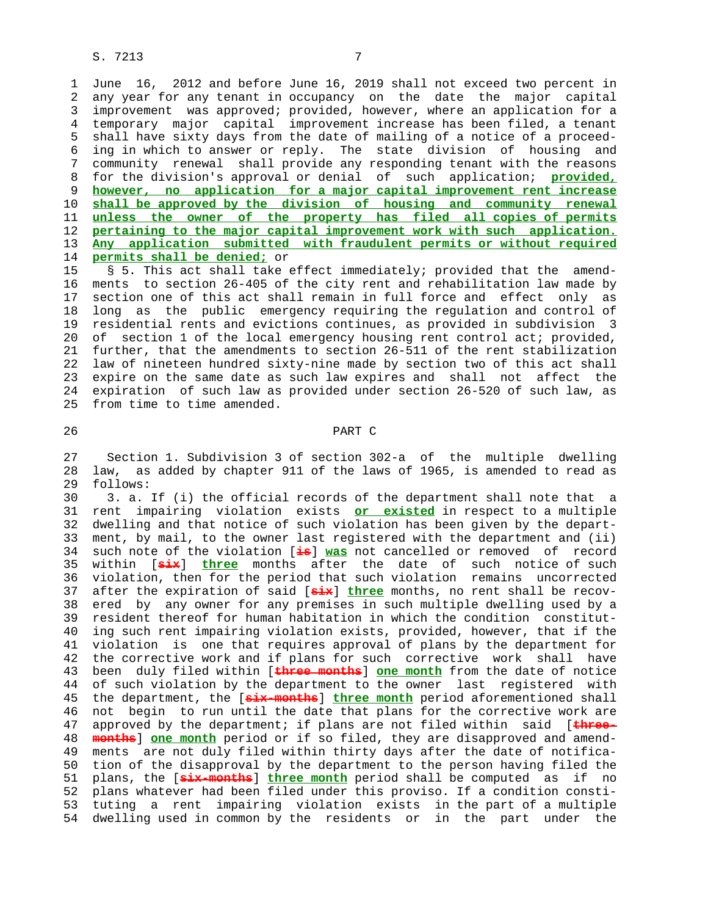1 June 16, 2012 and before June 16, 2019 shall not exceed two percent in 2 any year for any tenant in occupancy on the date the major capital 3 improvement was approved; provided, however, where an application for a 4 temporary major capital improvement increase has been filed, a tenant 5 shall have sixty days from the date of mailing of a notice of a proceed- 6 ing in which to answer or reply. The state division of housing and 7 community renewal shall provide any responding tenant with the reasons 8 for the division's approval or denial of such application; **provided,** 9 **however, no application for a major capital improvement rent increase** 10 **shall be approved by the division of housing and community renewal** 11 **unless the owner of the property has filed all copies of permits** 12 **pertaining to the major capital improvement work with such application.** 13 **Any application submitted with fraudulent permits or without required** 14 **permits shall be denied;** or

 15 § 5. This act shall take effect immediately; provided that the amend- 16 ments to section 26-405 of the city rent and rehabilitation law made by 17 section one of this act shall remain in full force and effect only as 18 long as the public emergency requiring the regulation and control of 19 residential rents and evictions continues, as provided in subdivision 3 20 of section 1 of the local emergency housing rent control act; provided, 21 further, that the amendments to section 26-511 of the rent stabilization 22 law of nineteen hundred sixty-nine made by section two of this act shall 23 expire on the same date as such law expires and shall not affect the 24 expiration of such law as provided under section 26-520 of such law, as 25 from time to time amended.

#### 26 PART C

 27 Section 1. Subdivision 3 of section 302-a of the multiple dwelling 28 law, as added by chapter 911 of the laws of 1965, is amended to read as 29 follows:

 30 3. a. If (i) the official records of the department shall note that a 31 rent impairing violation exists **or existed** in respect to a multiple 32 dwelling and that notice of such violation has been given by the depart- 33 ment, by mail, to the owner last registered with the department and (ii) 34 such note of the violation [**is**] **was** not cancelled or removed of record 35 within [**six**] **three** months after the date of such notice of such 36 violation, then for the period that such violation remains uncorrected 37 after the expiration of said [**six**] **three** months, no rent shall be recov- 38 ered by any owner for any premises in such multiple dwelling used by a 39 resident thereof for human habitation in which the condition constitut- 40 ing such rent impairing violation exists, provided, however, that if the 41 violation is one that requires approval of plans by the department for 42 the corrective work and if plans for such corrective work shall have 43 been duly filed within [**three months**] **one month** from the date of notice 44 of such violation by the department to the owner last registered with 45 the department, the [**six-months**] **three month** period aforementioned shall 46 not begin to run until the date that plans for the corrective work are 47 approved by the department; if plans are not filed within said [**three-** 48 **months**] **one month** period or if so filed, they are disapproved and amend- 49 ments are not duly filed within thirty days after the date of notifica- 50 tion of the disapproval by the department to the person having filed the 51 plans, the [**six-months**] **three month** period shall be computed as if no 52 plans whatever had been filed under this proviso. If a condition consti- 53 tuting a rent impairing violation exists in the part of a multiple 54 dwelling used in common by the residents or in the part under the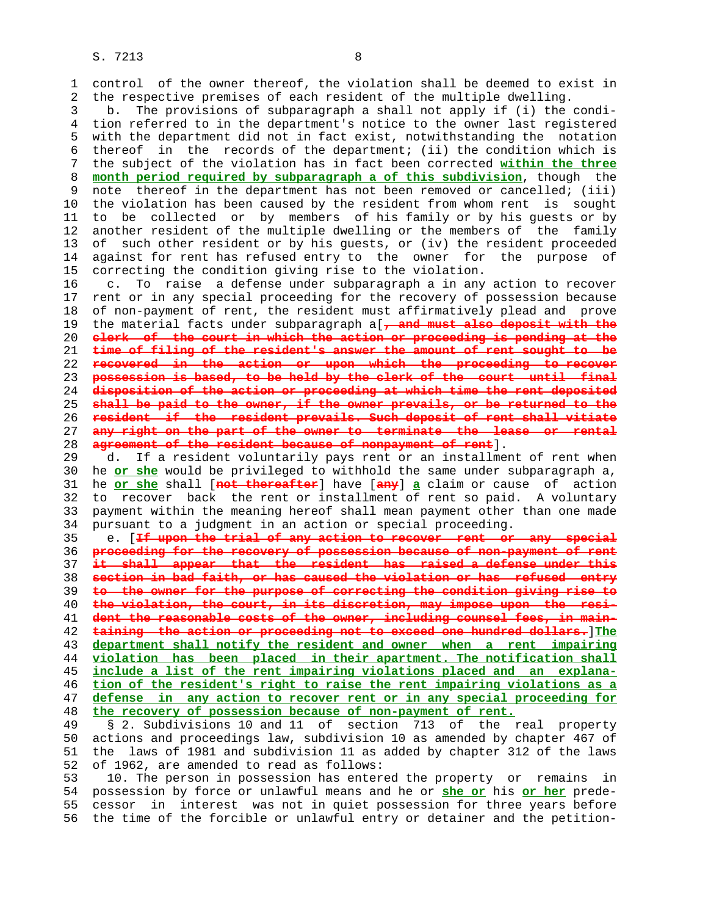1 control of the owner thereof, the violation shall be deemed to exist in 2 the respective premises of each resident of the multiple dwelling.

 3 b. The provisions of subparagraph a shall not apply if (i) the condi- 4 tion referred to in the department's notice to the owner last registered 5 with the department did not in fact exist, notwithstanding the notation 6 thereof in the records of the department; (ii) the condition which is 7 the subject of the violation has in fact been corrected **within the three** 8 **month period required by subparagraph a of this subdivision**, though the 9 note thereof in the department has not been removed or cancelled; (iii) 10 the violation has been caused by the resident from whom rent is sought 11 to be collected or by members of his family or by his guests or by 12 another resident of the multiple dwelling or the members of the family 13 of such other resident or by his guests, or (iv) the resident proceeded 14 against for rent has refused entry to the owner for the purpose of 15 correcting the condition giving rise to the violation.

 16 c. To raise a defense under subparagraph a in any action to recover 17 rent or in any special proceeding for the recovery of possession because 18 of non-payment of rent, the resident must affirmatively plead and prove 19 the material facts under subparagraph a[**, and must also deposit with the clerk of the court in which the action or proceeding is pending at the time of filing of the resident's answer the amount of rent sought to be recovered in the action or upon which the proceeding to recover possession is based, to be held by the clerk of the court until final disposition of the action or proceeding at which time the rent deposited shall be paid to the owner, if the owner prevails, or be returned to the resident if the resident prevails. Such deposit of rent shall vitiate any right on the part of the owner to terminate the lease or rental agreement of the resident because of nonpayment of rent**].

 29 d. If a resident voluntarily pays rent or an installment of rent when 30 he **or she** would be privileged to withhold the same under subparagraph a, 31 he **or she** shall [**not thereafter**] have [**any**] **a** claim or cause of action 32 to recover back the rent or installment of rent so paid. A voluntary 33 payment within the meaning hereof shall mean payment other than one made 34 pursuant to a judgment in an action or special proceeding.

 35 e. [**If upon the trial of any action to recover rent or any special proceeding for the recovery of possession because of non-payment of rent it shall appear that the resident has raised a defense under this section in bad faith, or has caused the violation or has refused entry to the owner for the purpose of correcting the condition giving rise to the violation, the court, in its discretion, may impose upon the resi- dent the reasonable costs of the owner, including counsel fees, in main- taining the action or proceeding not to exceed one hundred dollars.**]**The department shall notify the resident and owner when a rent impairing violation has been placed in their apartment. The notification shall include a list of the rent impairing violations placed and an explana- tion of the resident's right to raise the rent impairing violations as a defense in any action to recover rent or in any special proceeding for the recovery of possession because of non-payment of rent.**

 49 § 2. Subdivisions 10 and 11 of section 713 of the real property 50 actions and proceedings law, subdivision 10 as amended by chapter 467 of 51 the laws of 1981 and subdivision 11 as added by chapter 312 of the laws 52 of 1962, are amended to read as follows:

 53 10. The person in possession has entered the property or remains in 54 possession by force or unlawful means and he or **she or** his **or her** prede- 55 cessor in interest was not in quiet possession for three years before 56 the time of the forcible or unlawful entry or detainer and the petition-